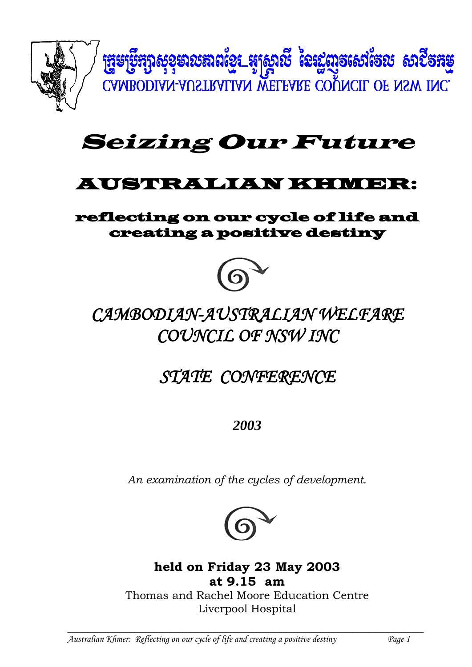

# Seizing Our Future

## AUSTRALIAN KHMER:

## reflecting on our cycle of life and creating a positive destiny



# *CAMBODIAN-AUSTRALIAN WELFARE COUNCIL OF NSW INC*

*STATE CONFERENCE*

*2003*

*An examination of the cycles of development.*



**held on Friday 23 May 2003 at 9.15 am** Thomas and Rachel Moore Education Centre

Liverpool Hospital

**\_\_\_\_\_\_\_\_\_\_\_\_\_\_\_\_\_\_\_\_\_\_\_\_\_\_\_\_\_\_\_\_\_\_\_\_\_\_\_\_\_\_\_\_\_\_\_\_\_\_\_\_\_\_\_\_\_\_\_\_\_\_\_\_\_\_\_\_\_\_\_\_\_\_\_\_\_\_\_\_\_\_\_\_\_\_\_\_\_\_** *Australian Khmer: Reflecting on our cycle of life and creating a positive destiny Page 1*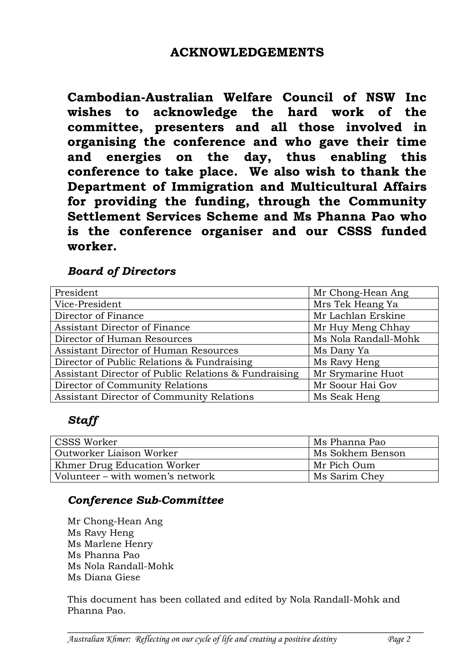**Cambodian-Australian Welfare Council of NSW Inc wishes to acknowledge the hard work of the committee, presenters and all those involved in organising the conference and who gave their time and energies on the day, thus enabling this conference to take place. We also wish to thank the Department of Immigration and Multicultural Affairs for providing the funding, through the Community Settlement Services Scheme and Ms Phanna Pao who is the conference organiser and our CSSS funded worker.**

## *Board of Directors*

| President                                            | Mr Chong-Hean Ang    |  |
|------------------------------------------------------|----------------------|--|
| Vice-President                                       | Mrs Tek Heang Ya     |  |
| Director of Finance                                  | Mr Lachlan Erskine   |  |
| Assistant Director of Finance                        | Mr Huy Meng Chhay    |  |
| Director of Human Resources                          | Ms Nola Randall-Mohk |  |
| Assistant Director of Human Resources                | Ms Dany Ya           |  |
| Director of Public Relations & Fundraising           | Ms Ravy Heng         |  |
| Assistant Director of Public Relations & Fundraising | Mr Srymarine Huot    |  |
| Director of Community Relations                      | Mr Soour Hai Gov     |  |
| Assistant Director of Community Relations            | Ms Seak Heng         |  |

## *Staff*

| <b>CSSS Worker</b>               | Ms Phanna Pao    |
|----------------------------------|------------------|
| Outworker Liaison Worker         | Ms Sokhem Benson |
| Khmer Drug Education Worker      | Mr Pich Oum      |
| Volunteer – with women's network | Ms Sarim Chey    |

### *Conference Sub-Committee*

Mr Chong-Hean Ang Ms Ravy Heng Ms Marlene Henry Ms Phanna Pao Ms Nola Randall-Mohk Ms Diana Giese

This document has been collated and edited by Nola Randall-Mohk and Phanna Pao.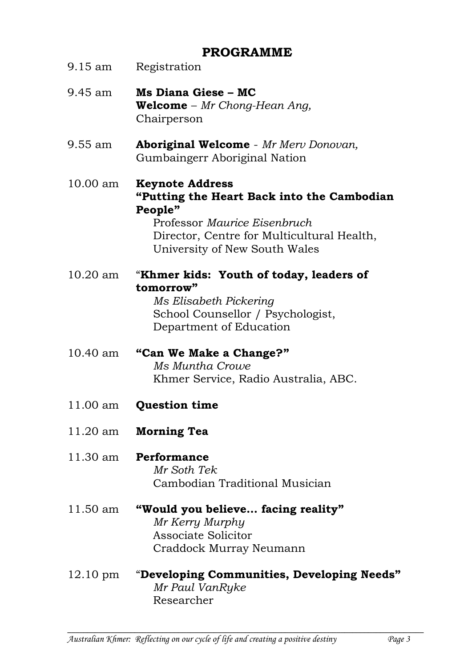## **PROGRAMME**

| 9.15 am            | Registration                                                                                                                                                                                   |
|--------------------|------------------------------------------------------------------------------------------------------------------------------------------------------------------------------------------------|
| 9.45 am            | Ms Diana Giese - MC<br><b>Welcome</b> – $Mr$ Chong-Hean Ang,<br>Chairperson                                                                                                                    |
| 9.55 am            | <b>Aboriginal Welcome</b> - Mr Merv Donovan,<br>Gumbaingerr Aboriginal Nation                                                                                                                  |
| 10.00 am           | <b>Keynote Address</b><br>"Putting the Heart Back into the Cambodian<br>People"<br>Professor Maurice Eisenbruch<br>Director, Centre for Multicultural Health,<br>University of New South Wales |
| $10.20$ am         | "Khmer kids: Youth of today, leaders of<br>tomorrow"<br>Ms Elisabeth Pickering<br>School Counsellor / Psychologist,<br>Department of Education                                                 |
| 10.40 am           | "Can We Make a Change?"<br><b>Ms Muntha Crowe</b><br>Khmer Service, Radio Australia, ABC.                                                                                                      |
| 11.00 am           | <b>Question time</b>                                                                                                                                                                           |
|                    | 11.20 am Morning Tea                                                                                                                                                                           |
|                    | 11.30 am <b>Performance</b><br>Mr Soth Tek<br>Cambodian Traditional Musician                                                                                                                   |
| 11.50 am           | "Would you believe facing reality"<br>Mr Kerry Murphy<br><b>Associate Solicitor</b><br>Craddock Murray Neumann                                                                                 |
| $12.10 \text{ pm}$ | "Developing Communities, Developing Needs"                                                                                                                                                     |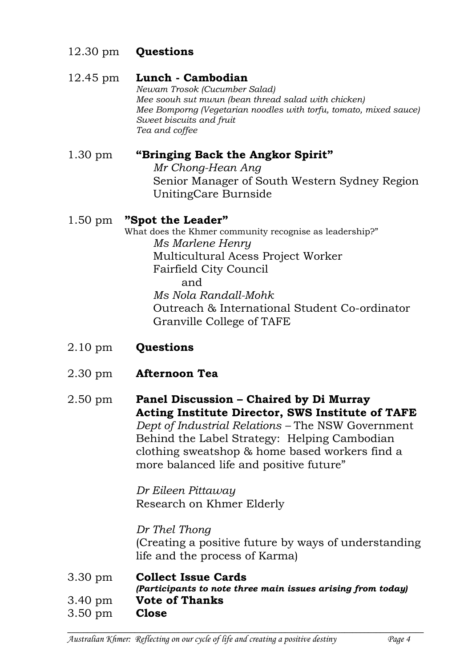## 12.30 pm **Questions**

### 12.45 pm **Lunch - Cambodian**

*Newam Trosok (Cucumber Salad) Mee soouh sut mwun (bean thread salad with chicken) Mee Bomporng (Vegetarian noodles with torfu, tomato, mixed sauce) Sweet biscuits and fruit Tea and coffee*

## 1.30 pm **"Bringing Back the Angkor Spirit"**

*Mr Chong-Hean Ang* Senior Manager of South Western Sydney Region UnitingCare Burnside

## 1.50 pm **"Spot the Leader"**

What does the Khmer community recognise as leadership?" *Ms Marlene Henry* Multicultural Acess Project Worker Fairfield City Council and *Ms Nola Randall-Mohk* Outreach & International Student Co-ordinator Granville College of TAFE

- 2.10 pm **Questions**
- 2.30 pm **Afternoon Tea**

2.50 pm **Panel Discussion – Chaired by Di Murray Acting Institute Director, SWS Institute of TAFE** *Dept of Industrial Relations –* The NSW Government Behind the Label Strategy: Helping Cambodian clothing sweatshop & home based workers find a more balanced life and positive future"

> *Dr Eileen Pittaway* Research on Khmer Elderly

*Dr Thel Thong* (Creating a positive future by ways of understanding life and the process of Karma)

3.30 pm **Collect Issue Cards** *(Participants to note three main issues arising from today)* 3.40 pm **Vote of Thanks** 3.50 pm **Close**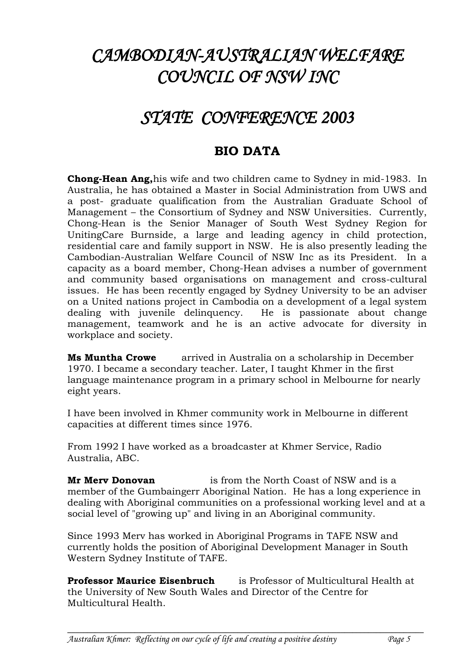## *CAMBODIAN-AUSTRALIAN WELFARE COUNCIL OF NSW INC*

## *STATE CONFERENCE 2003*

## **BIO DATA**

**Chong-Hean Ang,**his wife and two children came to Sydney in mid-1983. In Australia, he has obtained a Master in Social Administration from UWS and a post- graduate qualification from the Australian Graduate School of Management – the Consortium of Sydney and NSW Universities. Currently, Chong-Hean is the Senior Manager of South West Sydney Region for UnitingCare Burnside, a large and leading agency in child protection, residential care and family support in NSW. He is also presently leading the Cambodian-Australian Welfare Council of NSW Inc as its President. In a capacity as a board member, Chong-Hean advises a number of government and community based organisations on management and cross-cultural issues. He has been recently engaged by Sydney University to be an adviser on a United nations project in Cambodia on a development of a legal system dealing with juvenile delinquency. He is passionate about change management, teamwork and he is an active advocate for diversity in workplace and society.

**Ms Muntha Crowe** arrived in Australia on a scholarship in December 1970. I became a secondary teacher. Later, I taught Khmer in the first language maintenance program in a primary school in Melbourne for nearly eight years.

I have been involved in Khmer community work in Melbourne in different capacities at different times since 1976.

From 1992 I have worked as a broadcaster at Khmer Service, Radio Australia, ABC.

**Mr Merv Donovan** is from the North Coast of NSW and is a member of the Gumbaingerr Aboriginal Nation. He has a long experience in dealing with Aboriginal communities on a professional working level and at a social level of "growing up" and living in an Aboriginal community.

Since 1993 Merv has worked in Aboriginal Programs in TAFE NSW and currently holds the position of Aboriginal Development Manager in South Western Sydney Institute of TAFE.

**Professor Maurice Eisenbruch** is Professor of Multicultural Health at the University of New South Wales and Director of the Centre for Multicultural Health.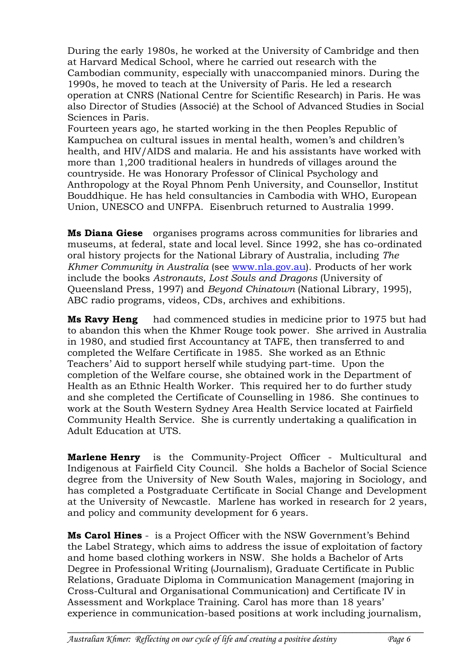During the early 1980s, he worked at the University of Cambridge and then at Harvard Medical School, where he carried out research with the Cambodian community, especially with unaccompanied minors. During the 1990s, he moved to teach at the University of Paris. He led a research operation at CNRS (National Centre for Scientific Research) in Paris. He was also Director of Studies (Associé) at the School of Advanced Studies in Social Sciences in Paris.

Fourteen years ago, he started working in the then Peoples Republic of Kampuchea on cultural issues in mental health, women's and children's health, and HIV/AIDS and malaria. He and his assistants have worked with more than 1,200 traditional healers in hundreds of villages around the countryside. He was Honorary Professor of Clinical Psychology and Anthropology at the Royal Phnom Penh University, and Counsellor, Institut Bouddhique. He has held consultancies in Cambodia with WHO, European Union, UNESCO and UNFPA. Eisenbruch returned to Australia 1999.

**Ms Diana Giese** organises programs across communities for libraries and museums, at federal, state and local level. Since 1992, she has co-ordinated oral history projects for the National Library of Australia, including *The Khmer Community in Australia* (see [www.nla.gov.au\)](http://www.nla.gov.au/). Products of her work include the books *Astronauts, Lost Souls and Dragons* (University of Queensland Press, 1997) and *Beyond Chinatown* (National Library, 1995), ABC radio programs, videos, CDs, archives and exhibitions.

**Ms Ravy Heng** had commenced studies in medicine prior to 1975 but had to abandon this when the Khmer Rouge took power. She arrived in Australia in 1980, and studied first Accountancy at TAFE, then transferred to and completed the Welfare Certificate in 1985. She worked as an Ethnic Teachers' Aid to support herself while studying part-time. Upon the completion of the Welfare course, she obtained work in the Department of Health as an Ethnic Health Worker. This required her to do further study and she completed the Certificate of Counselling in 1986. She continues to work at the South Western Sydney Area Health Service located at Fairfield Community Health Service. She is currently undertaking a qualification in Adult Education at UTS.

**Marlene Henry** is the Community-Project Officer - Multicultural and Indigenous at Fairfield City Council. She holds a Bachelor of Social Science degree from the University of New South Wales, majoring in Sociology, and has completed a Postgraduate Certificate in Social Change and Development at the University of Newcastle. Marlene has worked in research for 2 years, and policy and community development for 6 years.

**Ms Carol Hines** - is a Project Officer with the NSW Government's Behind the Label Strategy, which aims to address the issue of exploitation of factory and home based clothing workers in NSW. She holds a Bachelor of Arts Degree in Professional Writing (Journalism), Graduate Certificate in Public Relations, Graduate Diploma in Communication Management (majoring in Cross-Cultural and Organisational Communication) and Certificate IV in Assessment and Workplace Training. Carol has more than 18 years' experience in communication-based positions at work including journalism,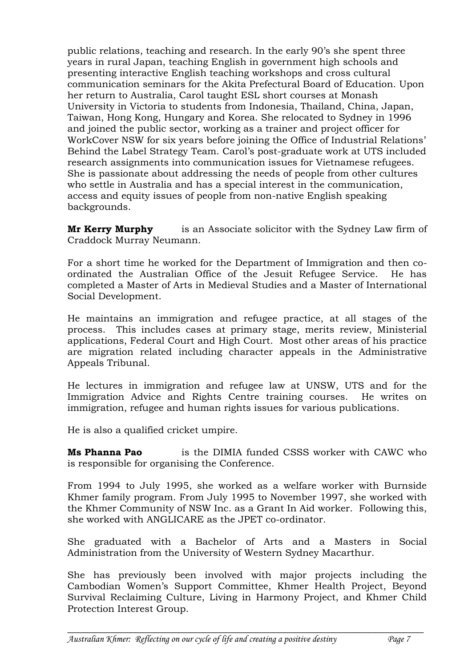public relations, teaching and research. In the early 90's she spent three years in rural Japan, teaching English in government high schools and presenting interactive English teaching workshops and cross cultural communication seminars for the Akita Prefectural Board of Education. Upon her return to Australia, Carol taught ESL short courses at Monash University in Victoria to students from Indonesia, Thailand, China, Japan, Taiwan, Hong Kong, Hungary and Korea. She relocated to Sydney in 1996 and joined the public sector, working as a trainer and project officer for WorkCover NSW for six years before joining the Office of Industrial Relations' Behind the Label Strategy Team. Carol's post-graduate work at UTS included research assignments into communication issues for Vietnamese refugees. She is passionate about addressing the needs of people from other cultures who settle in Australia and has a special interest in the communication, access and equity issues of people from non-native English speaking backgrounds.

**Mr Kerry Murphy** is an Associate solicitor with the Sydney Law firm of Craddock Murray Neumann.

For a short time he worked for the Department of Immigration and then coordinated the Australian Office of the Jesuit Refugee Service. He has completed a Master of Arts in Medieval Studies and a Master of International Social Development.

He maintains an immigration and refugee practice, at all stages of the process. This includes cases at primary stage, merits review, Ministerial applications, Federal Court and High Court. Most other areas of his practice are migration related including character appeals in the Administrative Appeals Tribunal.

He lectures in immigration and refugee law at UNSW, UTS and for the Immigration Advice and Rights Centre training courses. He writes on immigration, refugee and human rights issues for various publications.

He is also a qualified cricket umpire.

**Ms Phanna Pao** is the DIMIA funded CSSS worker with CAWC who is responsible for organising the Conference.

From 1994 to July 1995, she worked as a welfare worker with Burnside Khmer family program. From July 1995 to November 1997, she worked with the Khmer Community of NSW Inc. as a Grant In Aid worker. Following this, she worked with ANGLICARE as the JPET co-ordinator.

She graduated with a Bachelor of Arts and a Masters in Social Administration from the University of Western Sydney Macarthur.

She has previously been involved with major projects including the Cambodian Women's Support Committee, Khmer Health Project, Beyond Survival Reclaiming Culture, Living in Harmony Project, and Khmer Child Protection Interest Group.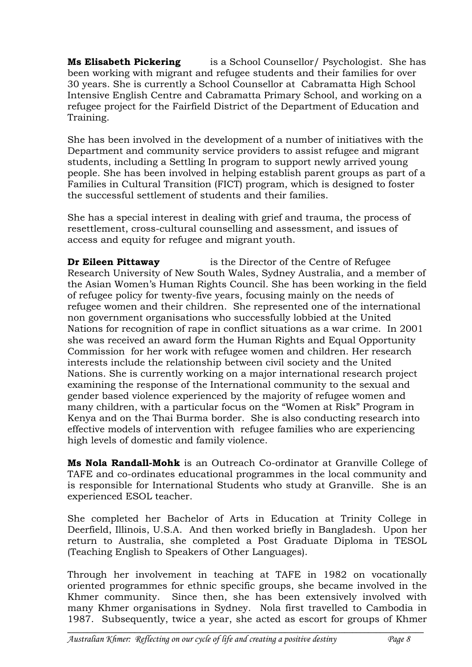**Ms Elisabeth Pickering** is a School Counsellor/ Psychologist. She has been working with migrant and refugee students and their families for over 30 years. She is currently a School Counsellor at Cabramatta High School Intensive English Centre and Cabramatta Primary School, and working on a refugee project for the Fairfield District of the Department of Education and Training.

She has been involved in the development of a number of initiatives with the Department and community service providers to assist refugee and migrant students, including a Settling In program to support newly arrived young people. She has been involved in helping establish parent groups as part of a Families in Cultural Transition (FICT) program, which is designed to foster the successful settlement of students and their families.

She has a special interest in dealing with grief and trauma, the process of resettlement, cross-cultural counselling and assessment, and issues of access and equity for refugee and migrant youth.

**Dr Eileen Pittaway** is the Director of the Centre of Refugee Research University of New South Wales, Sydney Australia, and a member of the Asian Women's Human Rights Council. She has been working in the field of refugee policy for twenty-five years, focusing mainly on the needs of refugee women and their children. She represented one of the international non government organisations who successfully lobbied at the United Nations for recognition of rape in conflict situations as a war crime. In 2001 she was received an award form the Human Rights and Equal Opportunity Commission for her work with refugee women and children. Her research interests include the relationship between civil society and the United Nations. She is currently working on a major international research project examining the response of the International community to the sexual and gender based violence experienced by the majority of refugee women and many children, with a particular focus on the "Women at Risk" Program in Kenya and on the Thai Burma border. She is also conducting research into effective models of intervention with refugee families who are experiencing high levels of domestic and family violence.

**Ms Nola Randall-Mohk** is an Outreach Co-ordinator at Granville College of TAFE and co-ordinates educational programmes in the local community and is responsible for International Students who study at Granville. She is an experienced ESOL teacher.

She completed her Bachelor of Arts in Education at Trinity College in Deerfield, Illinois, U.S.A. And then worked briefly in Bangladesh. Upon her return to Australia, she completed a Post Graduate Diploma in TESOL (Teaching English to Speakers of Other Languages).

Through her involvement in teaching at TAFE in 1982 on vocationally oriented programmes for ethnic specific groups, she became involved in the Khmer community. Since then, she has been extensively involved with many Khmer organisations in Sydney. Nola first travelled to Cambodia in 1987. Subsequently, twice a year, she acted as escort for groups of Khmer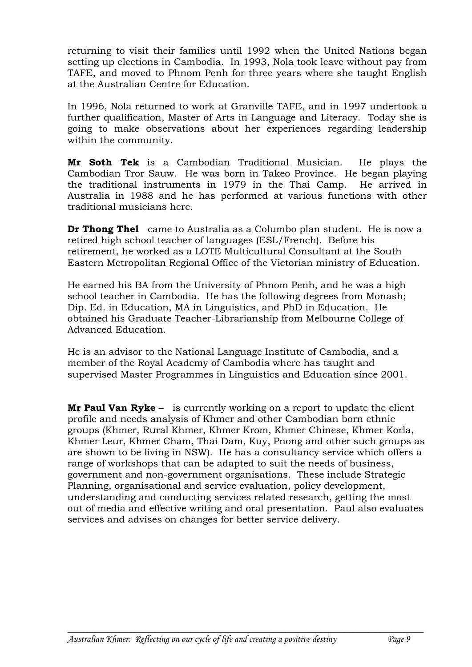returning to visit their families until 1992 when the United Nations began setting up elections in Cambodia. In 1993, Nola took leave without pay from TAFE, and moved to Phnom Penh for three years where she taught English at the Australian Centre for Education.

In 1996, Nola returned to work at Granville TAFE, and in 1997 undertook a further qualification, Master of Arts in Language and Literacy. Today she is going to make observations about her experiences regarding leadership within the community.

**Mr Soth Tek** is a Cambodian Traditional Musician. He plays the Cambodian Tror Sauw. He was born in Takeo Province. He began playing the traditional instruments in 1979 in the Thai Camp. He arrived in Australia in 1988 and he has performed at various functions with other traditional musicians here.

**Dr Thong Thel** came to Australia as a Columbo plan student. He is now a retired high school teacher of languages (ESL/French). Before his retirement, he worked as a LOTE Multicultural Consultant at the South Eastern Metropolitan Regional Office of the Victorian ministry of Education.

He earned his BA from the University of Phnom Penh, and he was a high school teacher in Cambodia. He has the following degrees from Monash; Dip. Ed. in Education, MA in Linguistics, and PhD in Education. He obtained his Graduate Teacher-Librarianship from Melbourne College of Advanced Education.

He is an advisor to the National Language Institute of Cambodia, and a member of the Royal Academy of Cambodia where has taught and supervised Master Programmes in Linguistics and Education since 2001.

**Mr Paul Van Ryke** – is currently working on a report to update the client profile and needs analysis of Khmer and other Cambodian born ethnic groups (Khmer, Rural Khmer, Khmer Krom, Khmer Chinese, Khmer Korla, Khmer Leur, Khmer Cham, Thai Dam, Kuy, Pnong and other such groups as are shown to be living in NSW). He has a consultancy service which offers a range of workshops that can be adapted to suit the needs of business, government and non-government organisations. These include Strategic Planning, organisational and service evaluation, policy development, understanding and conducting services related research, getting the most out of media and effective writing and oral presentation. Paul also evaluates services and advises on changes for better service delivery.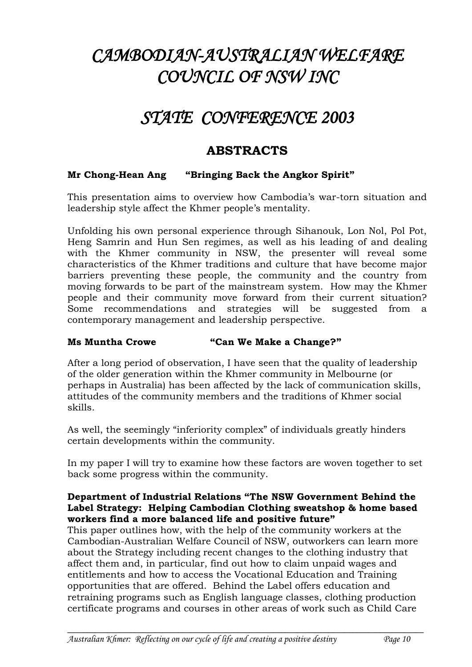# *CAMBODIAN-AUSTRALIAN WELFARE COUNCIL OF NSW INC*

## *STATE CONFERENCE 2003*

## **ABSTRACTS**

#### **Mr Chong-Hean Ang "Bringing Back the Angkor Spirit"**

This presentation aims to overview how Cambodia's war-torn situation and leadership style affect the Khmer people's mentality.

Unfolding his own personal experience through Sihanouk, Lon Nol, Pol Pot, Heng Samrin and Hun Sen regimes, as well as his leading of and dealing with the Khmer community in NSW, the presenter will reveal some characteristics of the Khmer traditions and culture that have become major barriers preventing these people, the community and the country from moving forwards to be part of the mainstream system. How may the Khmer people and their community move forward from their current situation? Some recommendations and strategies will be suggested from a contemporary management and leadership perspective.

#### **Ms Muntha Crowe "Can We Make a Change?"**

After a long period of observation, I have seen that the quality of leadership of the older generation within the Khmer community in Melbourne (or perhaps in Australia) has been affected by the lack of communication skills, attitudes of the community members and the traditions of Khmer social skills.

As well, the seemingly "inferiority complex" of individuals greatly hinders certain developments within the community.

In my paper I will try to examine how these factors are woven together to set back some progress within the community.

#### **Department of Industrial Relations "The NSW Government Behind the Label Strategy: Helping Cambodian Clothing sweatshop & home based workers find a more balanced life and positive future"**

This paper outlines how, with the help of the community workers at the Cambodian-Australian Welfare Council of NSW, outworkers can learn more about the Strategy including recent changes to the clothing industry that affect them and, in particular, find out how to claim unpaid wages and entitlements and how to access the Vocational Education and Training opportunities that are offered. Behind the Label offers education and retraining programs such as English language classes, clothing production certificate programs and courses in other areas of work such as Child Care

**\_\_\_\_\_\_\_\_\_\_\_\_\_\_\_\_\_\_\_\_\_\_\_\_\_\_\_\_\_\_\_\_\_\_\_\_\_\_\_\_\_\_\_\_\_\_\_\_\_\_\_\_\_\_\_\_\_\_\_\_\_\_\_\_\_\_\_\_\_\_\_\_\_\_\_\_\_\_\_\_\_\_\_\_\_\_\_\_\_\_**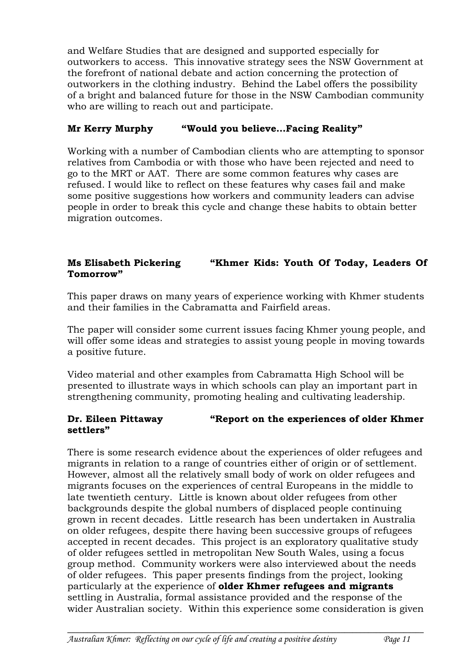and Welfare Studies that are designed and supported especially for outworkers to access. This innovative strategy sees the NSW Government at the forefront of national debate and action concerning the protection of outworkers in the clothing industry. Behind the Label offers the possibility of a bright and balanced future for those in the NSW Cambodian community who are willing to reach out and participate.

#### **Mr Kerry Murphy "Would you believe…Facing Reality"**

Working with a number of Cambodian clients who are attempting to sponsor relatives from Cambodia or with those who have been rejected and need to go to the MRT or AAT. There are some common features why cases are refused. I would like to reflect on these features why cases fail and make some positive suggestions how workers and community leaders can advise people in order to break this cycle and change these habits to obtain better migration outcomes.

#### **Ms Elisabeth Pickering "Khmer Kids: Youth Of Today, Leaders Of Tomorrow"**

This paper draws on many years of experience working with Khmer students and their families in the Cabramatta and Fairfield areas.

The paper will consider some current issues facing Khmer young people, and will offer some ideas and strategies to assist young people in moving towards a positive future.

Video material and other examples from Cabramatta High School will be presented to illustrate ways in which schools can play an important part in strengthening community, promoting healing and cultivating leadership.

#### **Dr. Eileen Pittaway "Report on the experiences of older Khmer settlers"**

There is some research evidence about the experiences of older refugees and migrants in relation to a range of countries either of origin or of settlement. However, almost all the relatively small body of work on older refugees and migrants focuses on the experiences of central Europeans in the middle to late twentieth century. Little is known about older refugees from other backgrounds despite the global numbers of displaced people continuing grown in recent decades. Little research has been undertaken in Australia on older refugees, despite there having been successive groups of refugees accepted in recent decades. This project is an exploratory qualitative study of older refugees settled in metropolitan New South Wales, using a focus group method. Community workers were also interviewed about the needs of older refugees. This paper presents findings from the project, looking particularly at the experience of **older Khmer refugees and migrants** settling in Australia, formal assistance provided and the response of the wider Australian society. Within this experience some consideration is given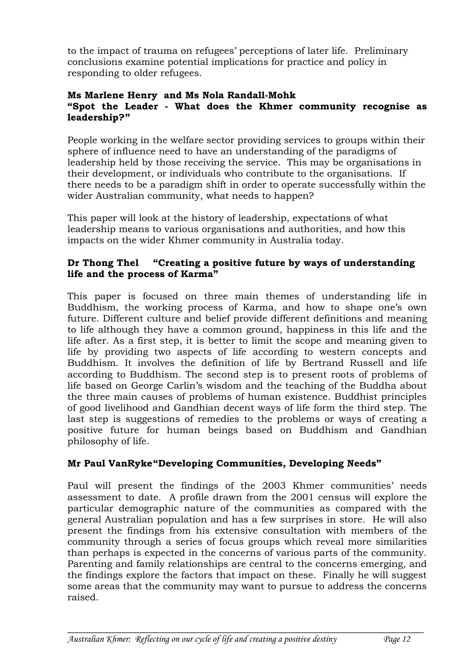to the impact of trauma on refugees' perceptions of later life. Preliminary conclusions examine potential implications for practice and policy in responding to older refugees.

#### **Ms Marlene Henry and Ms Nola Randall-Mohk "Spot the Leader - What does the Khmer community recognise as leadership?"**

People working in the welfare sector providing services to groups within their sphere of influence need to have an understanding of the paradigms of leadership held by those receiving the service. This may be organisations in their development, or individuals who contribute to the organisations. If there needs to be a paradigm shift in order to operate successfully within the wider Australian community, what needs to happen?

This paper will look at the history of leadership, expectations of what leadership means to various organisations and authorities, and how this impacts on the wider Khmer community in Australia today.

#### **Dr Thong Thel "Creating a positive future by ways of understanding life and the process of Karma"**

This paper is focused on three main themes of understanding life in Buddhism, the working process of Karma, and how to shape one's own future. Different culture and belief provide different definitions and meaning to life although they have a common ground, happiness in this life and the life after. As a first step, it is better to limit the scope and meaning given to life by providing two aspects of life according to western concepts and Buddhism. It involves the definition of life by Bertrand Russell and life according to Buddhism. The second step is to present roots of problems of life based on George Carlin's wisdom and the teaching of the Buddha about the three main causes of problems of human existence. Buddhist principles of good livelihood and Gandhian decent ways of life form the third step. The last step is suggestions of remedies to the problems or ways of creating a positive future for human beings based on Buddhism and Gandhian philosophy of life.

#### **Mr Paul VanRyke"Developing Communities, Developing Needs"**

Paul will present the findings of the 2003 Khmer communities' needs assessment to date. A profile drawn from the 2001 census will explore the particular demographic nature of the communities as compared with the general Australian population and has a few surprises in store. He will also present the findings from his extensive consultation with members of the community through a series of focus groups which reveal more similarities than perhaps is expected in the concerns of various parts of the community. Parenting and family relationships are central to the concerns emerging, and the findings explore the factors that impact on these. Finally he will suggest some areas that the community may want to pursue to address the concerns raised.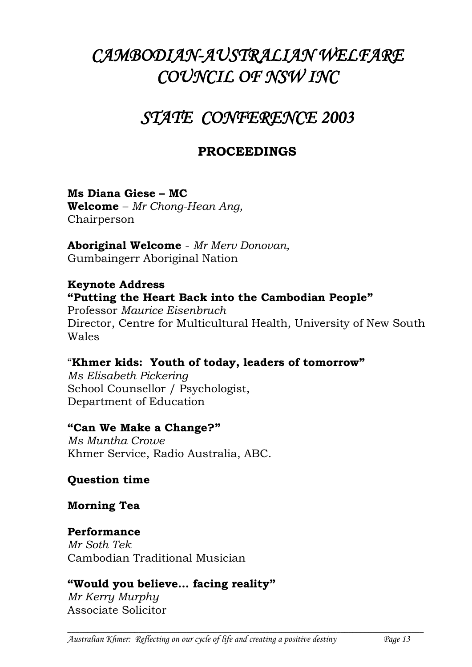# *CAMBODIAN-AUSTRALIAN WELFARE COUNCIL OF NSW INC*

## *STATE CONFERENCE 2003*

## **PROCEEDINGS**

## **Ms Diana Giese – MC**

**Welcome** – *Mr Chong-Hean Ang,*  Chairperson

**Aboriginal Welcome** - *Mr Merv Donovan,* Gumbaingerr Aboriginal Nation

#### **Keynote Address "Putting the Heart Back into the Cambodian People"**

Professor *Maurice Eisenbruch* Director, Centre for Multicultural Health, University of New South Wales

## "**Khmer kids: Youth of today, leaders of tomorrow"**

*Ms Elisabeth Pickering* School Counsellor / Psychologist, Department of Education

### **"Can We Make a Change?"**

*Ms Muntha Crowe* Khmer Service, Radio Australia, ABC.

### **Question time**

### **Morning Tea**

### **Performance**

*Mr Soth Tek* Cambodian Traditional Musician

## **"Would you believe… facing reality"**

*Mr Kerry Murphy* Associate Solicitor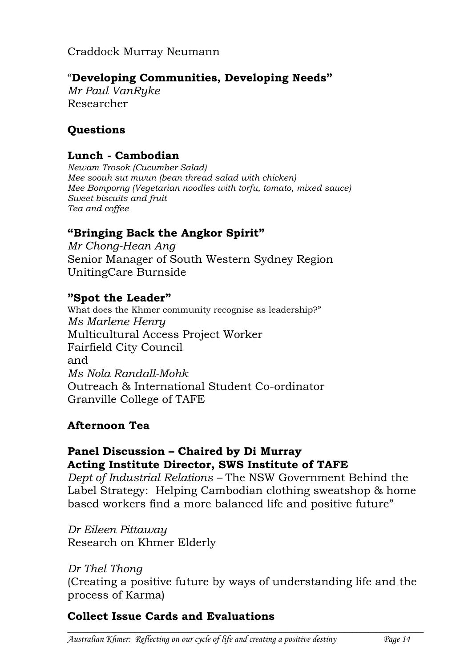Craddock Murray Neumann

## "**Developing Communities, Developing Needs"**

*Mr Paul VanRyke* Researcher

## **Questions**

### **Lunch - Cambodian**

*Newam Trosok (Cucumber Salad) Mee soouh sut mwun (bean thread salad with chicken) Mee Bomporng (Vegetarian noodles with torfu, tomato, mixed sauce) Sweet biscuits and fruit Tea and coffee*

## **"Bringing Back the Angkor Spirit"**

*Mr Chong-Hean Ang* Senior Manager of South Western Sydney Region UnitingCare Burnside

## **"Spot the Leader"**

What does the Khmer community recognise as leadership?" *Ms Marlene Henry* Multicultural Access Project Worker Fairfield City Council and *Ms Nola Randall-Mohk* Outreach & International Student Co-ordinator Granville College of TAFE

## **Afternoon Tea**

## **Panel Discussion – Chaired by Di Murray Acting Institute Director, SWS Institute of TAFE**

*Dept of Industrial Relations –* The NSW Government Behind the Label Strategy: Helping Cambodian clothing sweatshop & home based workers find a more balanced life and positive future"

*Dr Eileen Pittaway* Research on Khmer Elderly

### *Dr Thel Thong*

(Creating a positive future by ways of understanding life and the process of Karma)

**\_\_\_\_\_\_\_\_\_\_\_\_\_\_\_\_\_\_\_\_\_\_\_\_\_\_\_\_\_\_\_\_\_\_\_\_\_\_\_\_\_\_\_\_\_\_\_\_\_\_\_\_\_\_\_\_\_\_\_\_\_\_\_\_\_\_\_\_\_\_\_\_\_\_\_\_\_\_\_\_\_\_\_\_\_\_\_\_\_\_**

## **Collect Issue Cards and Evaluations**